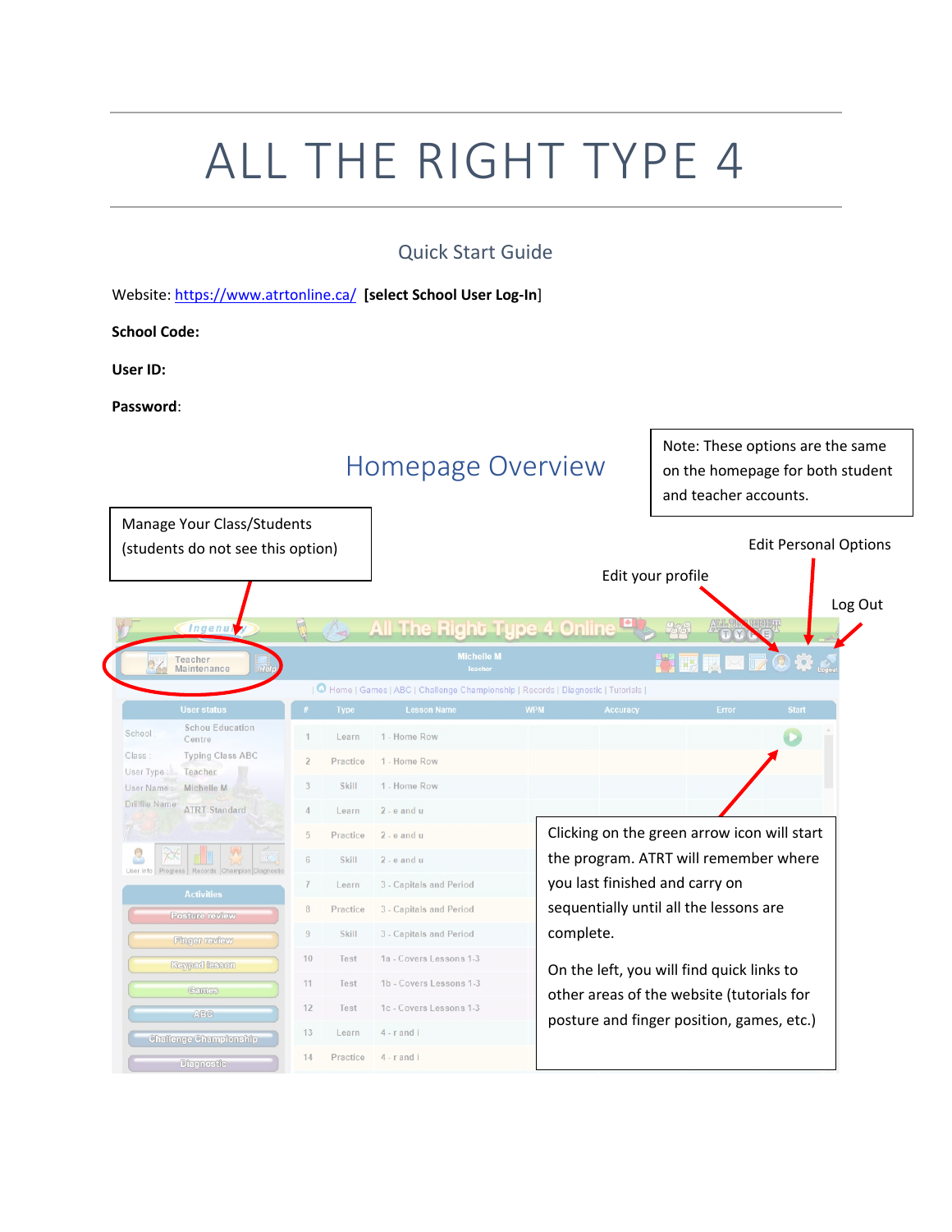# ALL THE RIGHT TYPE 4

#### Quick Start Guide

Website[: https://www.atrtonline.ca/](https://www.atrtonline.ca/) **[select School User Log-In**]

**School Code:**

**User ID:** 

**Password**:

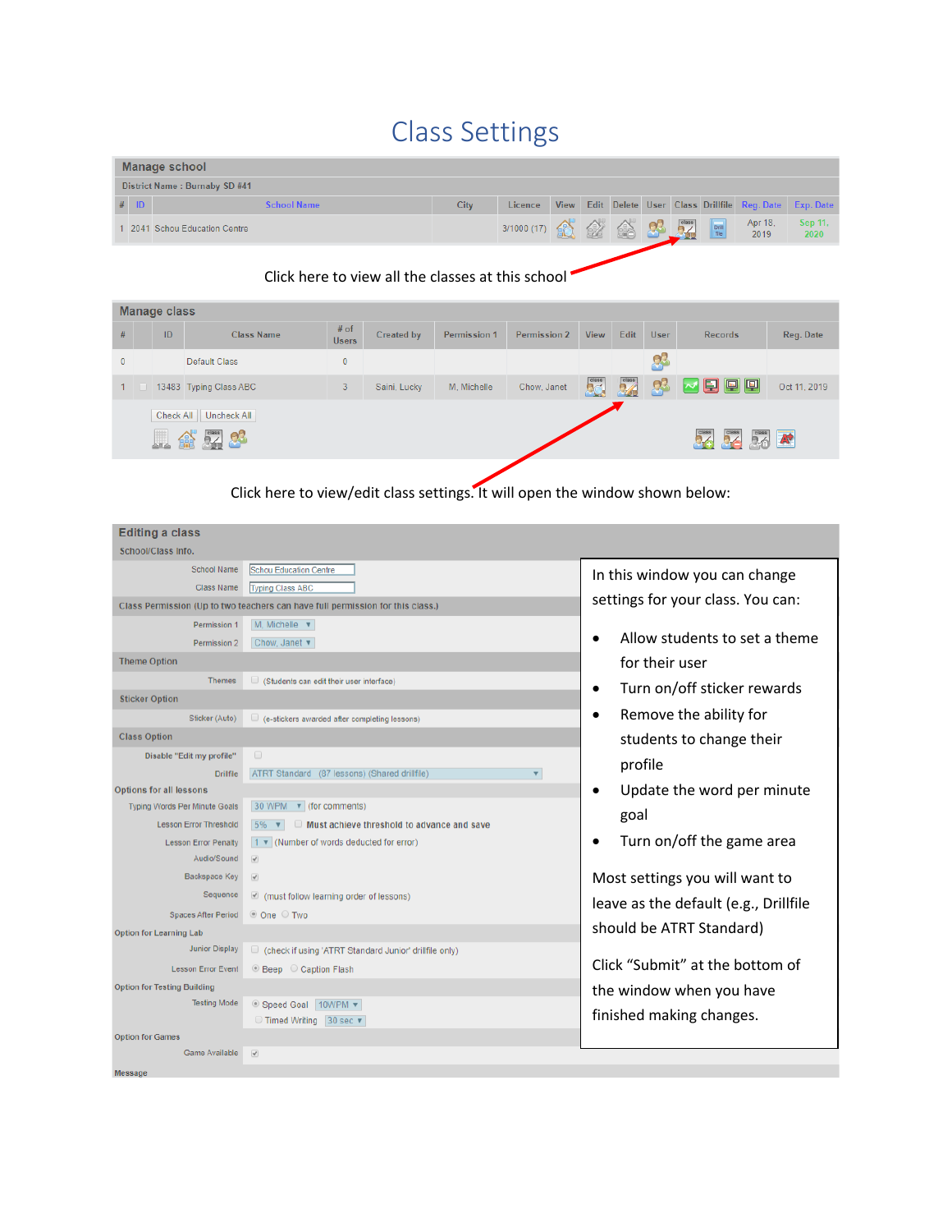# Class Settings

| Manage school                 |                               |      |                  |  |  |  |  |  |  |                                     |                                                           |
|-------------------------------|-------------------------------|------|------------------|--|--|--|--|--|--|-------------------------------------|-----------------------------------------------------------|
| District Name: Burnaby SD #41 |                               |      |                  |  |  |  |  |  |  |                                     |                                                           |
| $#$ ID                        | <b>School Name</b>            | City | Licence          |  |  |  |  |  |  |                                     | View Edit Delete User Class Drillfile Reg. Date Exp. Date |
|                               | 1 2041 Schou Education Centre |      | 3/1000 (17) 金金金品 |  |  |  |  |  |  | $\frac{\text{Apr }18}{\text{2019}}$ | Sep 11,<br>2020                                           |

#### Click here to view all the classes at this school

|              | <b>Manage class</b> |                |                        |                        |              |              |                     |                 |                    |             |                                        |                   |
|--------------|---------------------|----------------|------------------------|------------------------|--------------|--------------|---------------------|-----------------|--------------------|-------------|----------------------------------------|-------------------|
| #            |                     | ID             | <b>Class Name</b>      | $#$ of<br><b>Users</b> | Created by   | Permission 1 | <b>Permission 2</b> | <b>View</b>     | Edit               | <b>User</b> | <b>Records</b>                         | Reg. Date         |
| $\mathbf{0}$ |                     |                | Default Class          | $\mathbf{0}$           |              |              |                     |                 |                    | k.          |                                        |                   |
| 1            |                     |                | 13483 Typing Class ABC | 3                      | Saini, Lucky | M. Michelle  | Chow, Janet         | 50 <sub>o</sub> | class <sub>2</sub> | p3          | 2日回回                                   | Oct 11, 2019      |
|              |                     | Check All<br>H | Uncheck All<br>6 52 03 |                        |              |              |                     |                 |                    |             | class<br><b>P</b><br>class <sub></sub> | $\frac{class}{2}$ |
|              |                     |                |                        |                        |              |              |                     |                 |                    |             |                                        |                   |

Click here to view/edit class settings. It will open the window shown below:

| <b>Editing a class</b>               |                                                                                                                                                                                                                                                                                                                                               |                                            |
|--------------------------------------|-----------------------------------------------------------------------------------------------------------------------------------------------------------------------------------------------------------------------------------------------------------------------------------------------------------------------------------------------|--------------------------------------------|
| School/Class Info.                   |                                                                                                                                                                                                                                                                                                                                               |                                            |
| <b>School Name</b>                   | <b>Schou Education Centre</b>                                                                                                                                                                                                                                                                                                                 | In this window you can change              |
| Class Name                           | Typing Class ABC                                                                                                                                                                                                                                                                                                                              |                                            |
|                                      | Class Permission (Up to two teachers can have full permission for this class.)                                                                                                                                                                                                                                                                | settings for your class. You can:          |
| Permission 1                         | $M$ , Michelle $\blacktriangledown$                                                                                                                                                                                                                                                                                                           |                                            |
| Permission 2                         | Chow, Janet v                                                                                                                                                                                                                                                                                                                                 | Allow students to set a theme<br>$\bullet$ |
| <b>Theme Option</b>                  |                                                                                                                                                                                                                                                                                                                                               | for their user                             |
| <b>Themes</b>                        | $\Box$ (Students can edit their user interface)                                                                                                                                                                                                                                                                                               | Turn on/off sticker rewards<br>$\bullet$   |
| <b>Sticker Option</b>                |                                                                                                                                                                                                                                                                                                                                               |                                            |
| Sticker (Auto)                       | $\Box$ (e-stickers awarded after completing lessons)                                                                                                                                                                                                                                                                                          | Remove the ability for<br>$\bullet$        |
| <b>Class Option</b>                  |                                                                                                                                                                                                                                                                                                                                               | students to change their                   |
| Disable "Edit my profile"            | $\Box$                                                                                                                                                                                                                                                                                                                                        |                                            |
| <b>Drillfile</b>                     | ATRT Standard (87 lessons) (Shared drillfile)<br>$\boldsymbol{\mathrm{v}}$                                                                                                                                                                                                                                                                    | profile                                    |
| <b>Options for all lessons</b>       |                                                                                                                                                                                                                                                                                                                                               | Update the word per minute<br>$\bullet$    |
| <b>Typing Words Per Minute Goals</b> | 30 WPM v (for comments)                                                                                                                                                                                                                                                                                                                       | goal                                       |
| <b>Lesson Error Threshold</b>        | $5\%$ $\bullet$<br>Must achieve threshold to advance and save                                                                                                                                                                                                                                                                                 |                                            |
| <b>Lesson Error Penalty</b>          | $1 \times$ (Number of words deducted for error)                                                                                                                                                                                                                                                                                               | Turn on/off the game area                  |
| Audio/Sound                          | $\overline{\mathscr{L}}$                                                                                                                                                                                                                                                                                                                      |                                            |
| <b>Backspace Key</b>                 | $\begin{picture}(20,20) \put(0,0){\line(1,0){0.5}} \put(15,0){\line(1,0){0.5}} \put(15,0){\line(1,0){0.5}} \put(15,0){\line(1,0){0.5}} \put(15,0){\line(1,0){0.5}} \put(15,0){\line(1,0){0.5}} \put(15,0){\line(1,0){0.5}} \put(15,0){\line(1,0){0.5}} \put(15,0){\line(1,0){0.5}} \put(15,0){\line(1,0){0.5}} \put(15,0){\line(1,0){0.5}} \$ | Most settings you will want to             |
| Sequence                             | $\Box$ (must follow learning order of lessons)                                                                                                                                                                                                                                                                                                | leave as the default (e.g., Drillfile      |
| <b>Spaces After Period</b>           | © One O Two                                                                                                                                                                                                                                                                                                                                   |                                            |
| <b>Option for Learning Lab</b>       |                                                                                                                                                                                                                                                                                                                                               | should be ATRT Standard)                   |
| <b>Junior Display</b>                | Check if using 'ATRT Standard Junior' drillfile only)                                                                                                                                                                                                                                                                                         |                                            |
| <b>Lesson Error Event</b>            | ◎ Beep ○ Caption Flash                                                                                                                                                                                                                                                                                                                        | Click "Submit" at the bottom of            |
| <b>Option for Testing Building</b>   |                                                                                                                                                                                                                                                                                                                                               | the window when you have                   |
| <b>Testing Mode</b>                  | © Speed Goal   10WPM ▼                                                                                                                                                                                                                                                                                                                        |                                            |
|                                      | ◯ Timed Writing 30 sec ▼                                                                                                                                                                                                                                                                                                                      | finished making changes.                   |
| <b>Option for Games</b>              |                                                                                                                                                                                                                                                                                                                                               |                                            |
| Game Available                       | $\overline{\mathcal{A}}$                                                                                                                                                                                                                                                                                                                      |                                            |
| <b>Message</b>                       |                                                                                                                                                                                                                                                                                                                                               |                                            |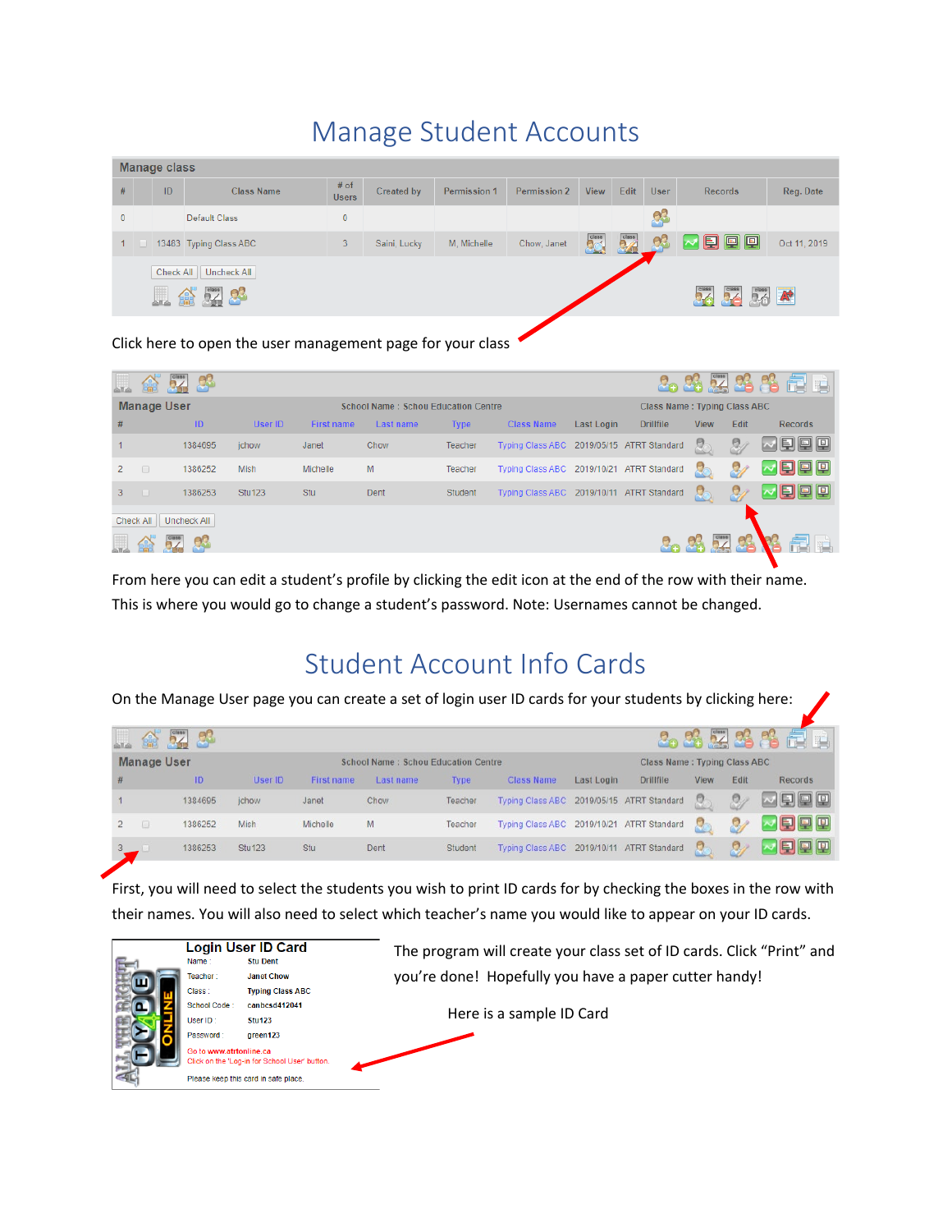## Manage Student Accounts

|              | <b>Manage class</b> |           |                                                |                        |              |              |                     |             |      |             |                                         |              |
|--------------|---------------------|-----------|------------------------------------------------|------------------------|--------------|--------------|---------------------|-------------|------|-------------|-----------------------------------------|--------------|
| #            |                     | ID        | <b>Class Name</b>                              | $#$ of<br><b>Users</b> | Created by   | Permission 1 | <b>Permission 2</b> | <b>View</b> | Edit | <b>User</b> | Records                                 | Reg. Date    |
| $\mathbf{0}$ |                     |           | Default Class                                  | $\mathbf{0}$           |              |              |                     |             |      | Ų.          |                                         |              |
| 1            |                     |           | 13483 Typing Class ABC                         | 3                      | Saini, Lucky | M. Michelle  | Chow, Janet         | 53          | 5%   | 63          | ○国国国                                    | Oct 11, 2019 |
|              |                     | Check All | Uncheck All                                    |                        |              |              |                     |             |      |             |                                         |              |
|              |                     |           | $\frac{class}{2}$ $\frac{1}{2}$<br><b>PART</b> |                        |              |              |                     |             |      |             | class <sub></sub><br>class <sub>2</sub> | <b>BA</b>    |
|              |                     |           |                                                |                        |              |              |                     |             |      |             |                                         |              |

Click here to open the user management page for your class

|              | ≙                       | தி      |               |                   |                                            |             |                                           |            |                  |                                     |      | 2.3.夏多多量画           |  |  |
|--------------|-------------------------|---------|---------------|-------------------|--------------------------------------------|-------------|-------------------------------------------|------------|------------------|-------------------------------------|------|---------------------|--|--|
|              | <b>Manage User</b>      |         |               |                   | <b>School Name: Schou Education Centre</b> |             |                                           |            |                  | <b>Class Name: Typing Class ABC</b> |      |                     |  |  |
| #            |                         | ID      | User ID       | <b>First name</b> | Last name                                  | <b>Type</b> | <b>Class Name</b>                         | Last Login | <b>Drillfile</b> | <b>View</b>                         | Edit | <b>Records</b>      |  |  |
|              |                         | 1384695 | ichow         | Janet             | Chow                                       | Teacher     | Typing Class ABC 2019/05/15 ATRT Standard |            |                  | $\overline{\mathbf{S}}$             | 94   | $\nu$ eed           |  |  |
| $\mathbf{2}$ | $\Box$                  | 1386252 | <b>Mish</b>   | Michelle          | M                                          | Teacher     | Typing Class ABC 2019/10/21 ATRT Standard |            |                  | 8                                   |      | $\nabla$ Q $\nabla$ |  |  |
| $3 -$        | - 0                     | 1386253 | <b>Stu123</b> | Stu               | Dent                                       | Student     | Typing Class ABC 2019/10/11 ATRT Standard |            |                  | 2                                   |      | $\sim$ F e e        |  |  |
|              | Check All   Uncheck All |         |               |                   |                                            |             |                                           |            |                  |                                     |      |                     |  |  |
|              |                         |         |               |                   |                                            |             |                                           |            |                  |                                     |      |                     |  |  |

From here you can edit a student's profile by clicking the edit icon at the end of the row with their name. This is where you would go to change a student's password. Note: Usernames cannot be changed.

### Student Account Info Cards

On the Manage User page you can create a set of login user ID cards for your students by clicking here:

|   | 龠                  | 54 83   |               |                                            |           |             |                                           |            |                  |                                     |      | 2.3要3名信日       |  |
|---|--------------------|---------|---------------|--------------------------------------------|-----------|-------------|-------------------------------------------|------------|------------------|-------------------------------------|------|----------------|--|
|   | <b>Manage User</b> |         |               | <b>School Name: Schou Education Centre</b> |           |             |                                           |            |                  | <b>Class Name: Typing Class ABC</b> |      |                |  |
| # |                    | ID      | User ID       | First name                                 | Last name | <b>Type</b> | <b>Class Name</b>                         | Last Login | <b>Drillfile</b> | View                                | Edit | Records        |  |
|   |                    | 1384695 | jchow         | Janet                                      | Chow      | Teacher     | Typing Class ABC 2019/05/15 ATRT Standard |            |                  | o                                   | Θ.   | $\blacksquare$ |  |
|   |                    | 1386252 | Mish          | Michelle                                   | M         | Teacher     | Typing Class ABC 2019/10/21 ATRT Standard |            |                  |                                     |      | <b>E oo</b>    |  |
|   |                    | 1386253 | <b>Stu123</b> | Stu                                        | Dent      | Student     | Typing Class ABC 2019/10/11 ATRT Standard |            |                  | R                                   | Ω,   | 旧日日            |  |

First, you will need to select the students you wish to print ID cards for by checking the boxes in the row with their names. You will also need to select which teacher's name you would like to appear on your ID cards.

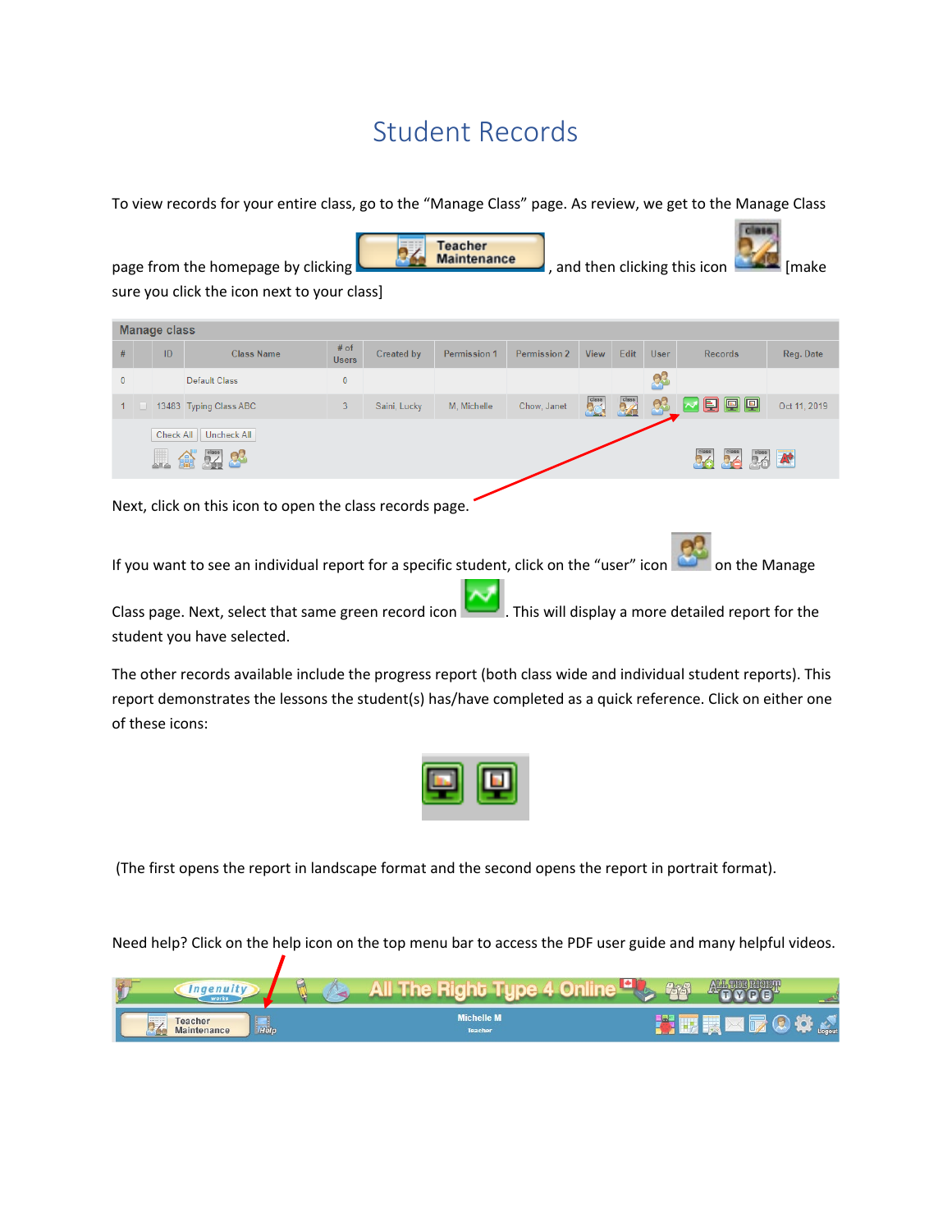## Student Records

To view records for your entire class, go to the "Manage Class" page. As review, we get to the Manage Class

**Fabrical** 

|              | <b>Teacher</b><br><b>Maintenance</b><br>page from the homepage by clicking<br>, and then clicking this icon<br>[make<br>sure you click the icon next to your class] |                     |                         |                        |              |                     |                     |             |      |             |                                              |              |
|--------------|---------------------------------------------------------------------------------------------------------------------------------------------------------------------|---------------------|-------------------------|------------------------|--------------|---------------------|---------------------|-------------|------|-------------|----------------------------------------------|--------------|
|              |                                                                                                                                                                     | <b>Manage class</b> |                         |                        |              |                     |                     |             |      |             |                                              |              |
| #            |                                                                                                                                                                     | ID                  | <b>Class Name</b>       | $#$ of<br><b>Users</b> | Created by   | <b>Permission 1</b> | <b>Permission 2</b> | <b>View</b> | Edit | <b>User</b> | <b>Records</b>                               | Reg. Date    |
| $\Omega$     |                                                                                                                                                                     |                     | <b>Default Class</b>    | $\mathbf{0}$           |              |                     |                     |             |      | 9.          |                                              |              |
| $\mathbf{1}$ |                                                                                                                                                                     |                     | 13483 Typing Class ABC  | 3                      | Saini, Lucky | M. Michelle         | Chow. Janet         | ba.         |      | Ų.          | $\blacksquare$ $\blacksquare$ $\blacksquare$ | Oct 11, 2019 |
|              |                                                                                                                                                                     | Check All           | Uncheck All<br>-83<br>編 |                        |              |                     |                     |             |      |             | $\frac{class}{2}$                            | $\mathbf{A}$ |
|              |                                                                                                                                                                     |                     |                         |                        |              |                     |                     |             |      |             |                                              |              |

Next, click on this icon to open the class records page.

If you want to see an individual report for a specific student, click on the "user" icon  $\Box$  on the Manage

Class page. Next, select that same green record icon . This will display a more detailed report for the student you have selected.

The other records available include the progress report (both class wide and individual student reports). This report demonstrates the lessons the student(s) has/have completed as a quick reference. Click on either one of these icons:



(The first opens the report in landscape format and the second opens the report in portrait format).

Need help? Click on the help icon on the top menu bar to access the PDF user guide and many helpful videos.